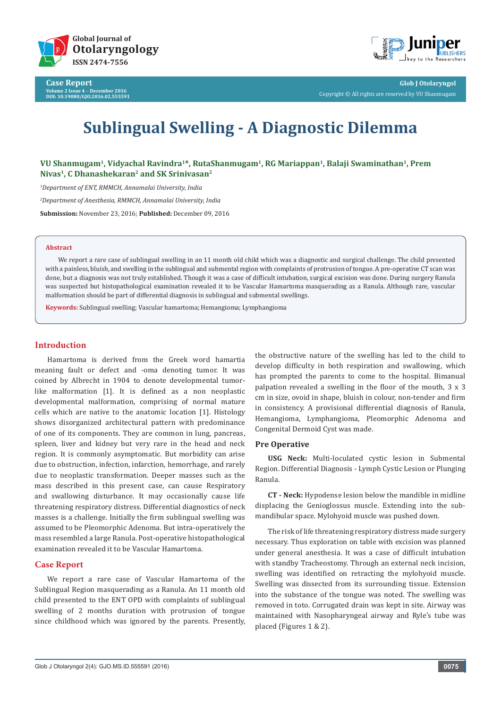



**Glob J Otolaryngol** Copyright © All rights are reserved by VU Shanmugam

# **Sublingual Swelling - A Diagnostic Dilemma**

**VU Shanmugam1, Vidyachal Ravindra1\*, RutaShanmugam1, RG Mariappan1, Balaji Swaminathan1, Prem Nivas1, C Dhanashekaran2 and SK Srinivasan2**

*1 Department of ENT, RMMCH, Annamalai University, India*

*2 Department of Anesthesia, RMMCH, Annamalai University, India*

**Submission:** November 23, 2016; **Published:** December 09, 2016

#### **Abstract**

We report a rare case of sublingual swelling in an 11 month old child which was a diagnostic and surgical challenge. The child presented with a painless, bluish, and swelling in the sublingual and submental region with complaints of protrusion of tongue. A pre-operative CT scan was done, but a diagnosis was not truly established. Though it was a case of difficult intubation, surgical excision was done. During surgery Ranula was suspected but histopathological examination revealed it to be Vascular Hamartoma masquerading as a Ranula. Although rare, vascular malformation should be part of differential diagnosis in sublingual and submental swellings.

**Keywords:** Sublingual swelling; Vascular hamartoma; Hemangioma; Lymphangioma

## **Introduction**

Hamartoma is derived from the Greek word hamartia meaning fault or defect and -oma denoting tumor. It was coined by Albrecht in 1904 to denote developmental tumorlike malformation [1]. It is defined as a non neoplastic developmental malformation, comprising of normal mature cells which are native to the anatomic location [1]. Histology shows disorganized architectural pattern with predominance of one of its components. They are common in lung, pancreas, spleen, liver and kidney but very rare in the head and neck region. It is commonly asymptomatic. But morbidity can arise due to obstruction, infection, infarction, hemorrhage, and rarely due to neoplastic transformation. Deeper masses such as the mass described in this present case, can cause Respiratory and swallowing disturbance. It may occasionally cause life threatening respiratory distress. Differential diagnostics of neck masses is a challenge. Initially the firm sublingual swelling was assumed to be Pleomorphic Adenoma. But intra-operatively the mass resembled a large Ranula. Post-operative histopathological examination revealed it to be Vascular Hamartoma.

## **Case Report**

We report a rare case of Vascular Hamartoma of the Sublingual Region masquerading as a Ranula. An 11 month old child presented to the ENT OPD with complaints of sublingual swelling of 2 months duration with protrusion of tongue since childhood which was ignored by the parents. Presently,

the obstructive nature of the swelling has led to the child to develop difficulty in both respiration and swallowing, which has prompted the parents to come to the hospital. Bimanual palpation revealed a swelling in the floor of the mouth, 3 x 3 cm in size, ovoid in shape, bluish in colour, non-tender and firm in consistency. A provisional differential diagnosis of Ranula, Hemangioma, Lymphangioma, Pleomorphic Adenoma and Congenital Dermoid Cyst was made.

### **Pre Operative**

**USG Neck:** Multi-loculated cystic lesion in Submental Region. Differential Diagnosis - Lymph Cystic Lesion or Plunging Ranula.

**CT - Neck:** Hypodense lesion below the mandible in midline displacing the Genioglossus muscle. Extending into the submandibular space. Mylohyoid muscle was pushed down.

The risk of life threatening respiratory distress made surgery necessary. Thus exploration on table with excision was planned under general anesthesia. It was a case of difficult intubation with standby Tracheostomy. Through an external neck incision, swelling was identified on retracting the mylohyoid muscle. Swelling was dissected from its surrounding tissue. Extension into the substance of the tongue was noted. The swelling was removed in toto. Corrugated drain was kept in site. Airway was maintained with Nasopharyngeal airway and Ryle's tube was placed (Figures 1 & 2).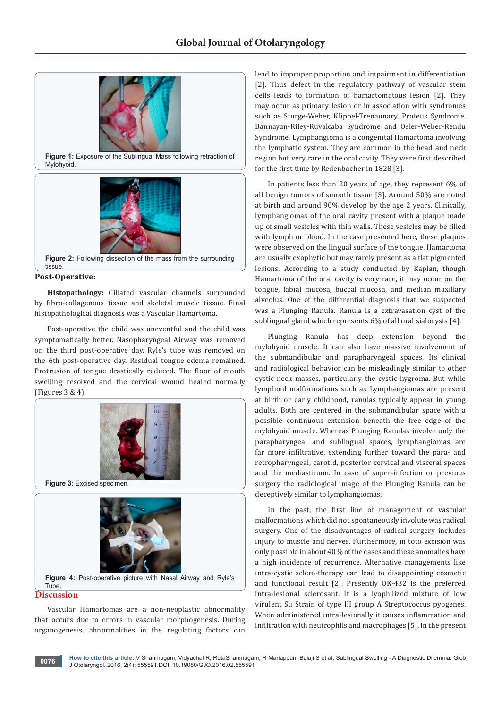

## **Post-Operative:**

**Histopathology:** Ciliated vascular channels surrounded by fibro-collagenous tissue and skeletal muscle tissue. Final histopathological diagnosis was a Vascular Hamartoma.

Post-operative the child was uneventful and the child was symptomatically better. Nasopharyngeal Airway was removed on the third post-operative day. Ryle's tube was removed on the 6th post-operative day. Residual tongue edema remained. Protrusion of tongue drastically reduced. The floor of mouth swelling resolved and the cervical wound healed normally (Figures 3 & 4).



Vascular Hamartomas are a non-neoplastic abnormality that occurs due to errors in vascular morphogenesis. During organogenesis, abnormalities in the regulating factors can

lead to improper proportion and impairment in differentiation [2]. Thus defect in the regulatory pathway of vascular stem cells leads to formation of hamartomatous lesion [2]. They may occur as primary lesion or in association with syndromes such as Sturge-Weber, Klippel-Trenaunary, Proteus Syndrome, Bannayan-Riley-Ruvalcaba Syndrome and Osler-Weber-Rendu Syndrome. Lymphangioma is a congenital Hamartoma involving the lymphatic system. They are common in the head and neck region but very rare in the oral cavity. They were first described for the first time by Redenbacher in 1828 [3].

In patients less than 20 years of age, they represent 6% of all benign tumors of smooth tissue [3]. Around 50% are noted at birth and around 90% develop by the age 2 years. Clinically, lymphangiomas of the oral cavity present with a plaque made up of small vesicles with thin walls. These vesicles may be filled with lymph or blood. In the case presented here, these plaques were observed on the lingual surface of the tongue. Hamartoma are usually exophytic but may rarely present as a flat pigmented lesions. According to a study conducted by Kaplan, though Hamartoma of the oral cavity is very rare, it may occur on the tongue, labial mucosa, buccal mucosa, and median maxillary alveolus. One of the differential diagnosis that we suspected was a Plunging Ranula. Ranula is a extravasation cyst of the sublingual gland which represents 6% of all oral sialocysts [4].

Plunging Ranula has deep extension beyond the mylohyoid muscle. It can also have massive involvement of the submandibular and parapharyngeal spaces. Its clinical and radiological behavior can be misleadingly similar to other cystic neck masses, particularly the cystic hygroma. But while lymphoid malformations such as Lymphangiomas are present at birth or early childhood, ranulas typically appear in young adults. Both are centered in the submandibular space with a possible continuous extension beneath the free edge of the mylohyoid muscle. Whereas Plunging Ranulas involve only the parapharyngeal and sublingual spaces, lymphangiomas are far more infiltrative, extending further toward the para- and retropharyngeal, carotid, posterior cervical and visceral spaces and the mediastinum. In case of super-infection or previous surgery the radiological image of the Plunging Ranula can be deceptively similar to lymphangiomas.

In the past, the first line of management of vascular malformations which did not spontaneously involute was radical surgery. One of the disadvantages of radical surgery includes injury to muscle and nerves. Furthermore, in toto excision was only possible in about 40% of the cases and these anomalies have a high incidence of recurrence. Alternative managements like intra-cystic sclero-therapy can lead to disappointing cosmetic and functional result [2]. Presently OK-432 is the preferred intra-lesional sclerosant. It is a lyophilized mixture of low virulent Su Strain of type III group A Streptococcus pyogenes. When administered intra-lesionally it causes inflammation and infiltration with neutrophils and macrophages [5]. In the present